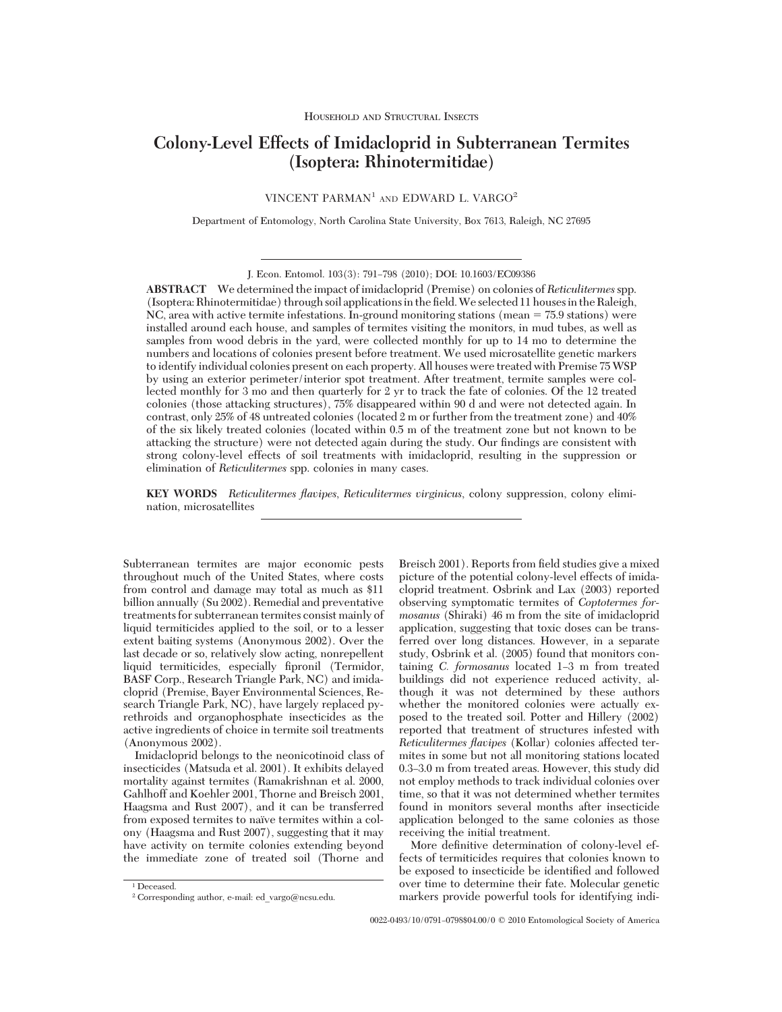# **Colony-Level Effects of Imidacloprid in Subterranean Termites (Isoptera: Rhinotermitidae)**

VINCENT PARMAN<sup>1</sup> AND EDWARD L. VARGO<sup>2</sup>

Department of Entomology, North Carolina State University, Box 7613, Raleigh, NC 27695

**ABSTRACT** We determined the impact of imidacloprid (Premise) on colonies of*Reticulitermes*spp. (Isoptera:Rhinotermitidae) through soil applicationsin the Þeld.We selected 11 housesin theRaleigh, NC, area with active termite infestations. In-ground monitoring stations (mean = 75.9 stations) were installed around each house, and samples of termites visiting the monitors, in mud tubes, as well as samples from wood debris in the yard, were collected monthly for up to 14 mo to determine the numbers and locations of colonies present before treatment. We used microsatellite genetic markers to identify individual colonies present on each property. All houses were treated with Premise 75WSP by using an exterior perimeter/interior spot treatment. After treatment, termite samples were collected monthly for 3 mo and then quarterly for 2 yr to track the fate of colonies. Of the 12 treated colonies (those attacking structures), 75% disappeared within 90 d and were not detected again. In contrast, only 25% of 48 untreated colonies (located 2 m or further from the treatment zone) and 40% of the six likely treated colonies (located within 0.5 m of the treatment zone but not known to be attacking the structure) were not detected again during the study. Our findings are consistent with strong colony-level effects of soil treatments with imidacloprid, resulting in the suppression or elimination of *Reticulitermes* spp. colonies in many cases.

**KEY WORDS** *Reticulitermes flavipes*, *Reticulitermes virginicus*, colony suppression, colony elimination, microsatellites

Subterranean termites are major economic pests throughout much of the United States, where costs from control and damage may total as much as \$11 billion annually (Su 2002). Remedial and preventative treatments for subterranean termites consist mainly of liquid termiticides applied to the soil, or to a lesser extent baiting systems (Anonymous 2002). Over the last decade or so, relatively slow acting, nonrepellent liquid termiticides, especially fipronil (Termidor, BASF Corp., Research Triangle Park, NC) and imidacloprid (Premise, Bayer Environmental Sciences, Research Triangle Park, NC), have largely replaced pyrethroids and organophosphate insecticides as the active ingredients of choice in termite soil treatments (Anonymous 2002).

Imidacloprid belongs to the neonicotinoid class of insecticides (Matsuda et al. 2001). It exhibits delayed mortality against termites (Ramakrishnan et al. 2000, Gahlhoff and Koehler 2001, Thorne and Breisch 2001, Haagsma and Rust 2007), and it can be transferred from exposed termites to naïve termites within a colony (Haagsma and Rust 2007), suggesting that it may have activity on termite colonies extending beyond the immediate zone of treated soil (Thorne and

<sup>1</sup> Deceased. <sup>2</sup> Corresponding author, e-mail: ed\_vargo@ncsu.edu. Breisch 2001). Reports from field studies give a mixed picture of the potential colony-level effects of imidacloprid treatment. Osbrink and Lax (2003) reported observing symptomatic termites of *Coptotermes formosanus* (Shiraki) 46 m from the site of imidacloprid application, suggesting that toxic doses can be transferred over long distances. However, in a separate study, Osbrink et al. (2005) found that monitors containing *C. formosanus* located 1-3 m from treated buildings did not experience reduced activity, although it was not determined by these authors whether the monitored colonies were actually exposed to the treated soil. Potter and Hillery (2002) reported that treatment of structures infested with *Reticulitermes flavipes* (Kollar) colonies affected termites in some but not all monitoring stations located 0.3–3.0 m from treated areas. However, this study did not employ methods to track individual colonies over time, so that it was not determined whether termites found in monitors several months after insecticide application belonged to the same colonies as those receiving the initial treatment.

More definitive determination of colony-level effects of termiticides requires that colonies known to be exposed to insecticide be identified and followed over time to determine their fate. Molecular genetic markers provide powerful tools for identifying indi-

J. Econ. Entomol. 103(3): 791-798 (2010); DOI: 10.1603/EC09386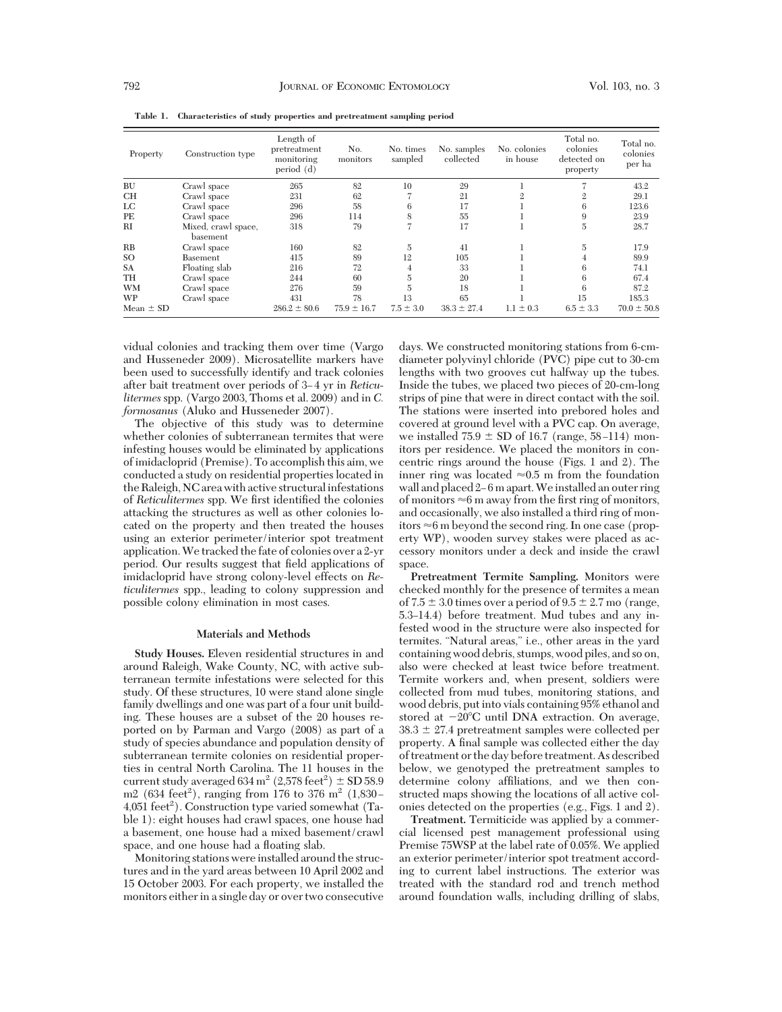| Property      | Construction type               | Length of<br>pretreatment<br>monitoring<br>period $(d)$ | No.<br>monitors | No. times<br>sampled | No. samples<br>collected | No. colonies<br>in house | Total no.<br>colonies<br>detected on<br>property | Total no.<br>colonies<br>per ha |
|---------------|---------------------------------|---------------------------------------------------------|-----------------|----------------------|--------------------------|--------------------------|--------------------------------------------------|---------------------------------|
| <b>BU</b>     | Crawl space                     | 265                                                     | 82              | 10                   | 29                       |                          |                                                  | 43.2                            |
| <b>CH</b>     | Crawl space                     | 231                                                     | 62              |                      | 21                       | 2                        | $\overline{2}$                                   | 29.1                            |
| LC            | Crawl space                     | 296                                                     | 58              | 6                    | 17                       |                          | 6                                                | 123.6                           |
| PE            | Crawl space                     | 296                                                     | 114             | 8                    | 55                       |                          | 9                                                | 23.9                            |
| RI            | Mixed, crawl space,<br>basement | 318                                                     | 79              | 7                    | 17                       |                          | $\overline{5}$                                   | 28.7                            |
| RB            | Crawl space                     | 160                                                     | 82              | 5                    | 41                       |                          | 5                                                | 17.9                            |
| SO.           | Basement                        | 415                                                     | 89              | 12                   | 105                      |                          | 4                                                | 89.9                            |
| <b>SA</b>     | Floating slab                   | 216                                                     | 72              | 4                    | 33                       |                          | 6                                                | 74.1                            |
| TH            | Crawl space                     | 244                                                     | 60              | 5                    | 20                       |                          | 6                                                | 67.4                            |
| <b>WM</b>     | Crawl space                     | 276                                                     | 59              | 5                    | 18                       |                          | 6                                                | 87.2                            |
| WP            | Crawl space                     | 431                                                     | 78              | 13                   | 65                       |                          | 15                                               | 185.3                           |
| Mean $\pm$ SD |                                 | $286.2 \pm 80.6$                                        | $75.9 \pm 16.7$ | $7.5 \pm 3.0$        | $38.3 \pm 27.4$          | $1.1 \pm 0.3$            | $6.5 \pm 3.3$                                    | $70.0 \pm 50.8$                 |

**Table 1. Characteristics of study properties and pretreatment sampling period**

vidual colonies and tracking them over time (Vargo and Husseneder 2009). Microsatellite markers have been used to successfully identify and track colonies after bait treatment over periods of 3-4 yr in Reticu*litermes*spp. (Vargo 2003, Thoms et al. 2009) and in *C. formosanus* (Aluko and Husseneder 2007).

The objective of this study was to determine whether colonies of subterranean termites that were infesting houses would be eliminated by applications of imidacloprid (Premise). To accomplish this aim, we conducted a study on residential properties located in the Raleigh, NC area with active structural infestations of *Reticulitermes* spp. We first identified the colonies attacking the structures as well as other colonies located on the property and then treated the houses using an exterior perimeter/interior spot treatment application.We tracked the fate of colonies over a 2-yr period. Our results suggest that field applications of imidacloprid have strong colony-level effects on *Reticulitermes* spp., leading to colony suppression and possible colony elimination in most cases.

## **Materials and Methods**

**Study Houses.** Eleven residential structures in and around Raleigh, Wake County, NC, with active subterranean termite infestations were selected for this study. Of these structures, 10 were stand alone single family dwellings and one was part of a four unit building. These houses are a subset of the 20 houses reported on by Parman and Vargo (2008) as part of a study of species abundance and population density of subterranean termite colonies on residential properties in central North Carolina. The 11 houses in the current study averaged  $634 \text{ m}^2 (2,578 \text{ feet}^2) \pm \text{SD} 58.9$ m2 (634 feet<sup>2</sup>), ranging from 176 to 376 m<sup>2</sup> (1,830 – 4,051 feet<sup>2</sup>). Construction type varied somewhat (Table 1): eight houses had crawl spaces, one house had a basement, one house had a mixed basement/crawl space, and one house had a floating slab.

Monitoring stations were installed around the structures and in the yard areas between 10 April 2002 and 15 October 2003. For each property, we installed the monitors either in a single day or over two consecutive days. We constructed monitoring stations from 6-cmdiameter polyvinyl chloride (PVC) pipe cut to 30-cm lengths with two grooves cut halfway up the tubes. Inside the tubes, we placed two pieces of 20-cm-long strips of pine that were in direct contact with the soil. The stations were inserted into prebored holes and covered at ground level with a PVC cap. On average, we installed  $75.9 \pm SD$  of 16.7 (range, 58-114) monitors per residence. We placed the monitors in concentric rings around the house (Figs. 1 and 2). The inner ring was located  $\approx 0.5$  m from the foundation wall and placed  $2-6$  m apart. We installed an outer ring of monitors  $\approx$ 6 m away from the first ring of monitors, and occasionally, we also installed a third ring of monitors  $\approx$ 6 m beyond the second ring. In one case (property WP), wooden survey stakes were placed as accessory monitors under a deck and inside the crawl space.

**Pretreatment Termite Sampling.** Monitors were checked monthly for the presence of termites a mean of  $7.5 \pm 3.0$  times over a period of  $9.5 \pm 2.7$  mo (range, 5.3Ð14.4) before treatment. Mud tubes and any infested wood in the structure were also inspected for termites. "Natural areas," i.e., other areas in the yard containing wood debris, stumps, wood piles, and so on, also were checked at least twice before treatment. Termite workers and, when present, soldiers were collected from mud tubes, monitoring stations, and wood debris, put into vials containing 95% ethanol and stored at  $-20^{\circ}$ C until DNA extraction. On average,  $38.3 \pm 27.4$  pretreatment samples were collected per property. A final sample was collected either the day of treatment or the day before treatment. As described below, we genotyped the pretreatment samples to determine colony affiliations, and we then constructed maps showing the locations of all active colonies detected on the properties (e.g., Figs. 1 and 2).

**Treatment.** Termiticide was applied by a commercial licensed pest management professional using Premise 75WSP at the label rate of 0.05%. We applied an exterior perimeter/interior spot treatment according to current label instructions. The exterior was treated with the standard rod and trench method around foundation walls, including drilling of slabs,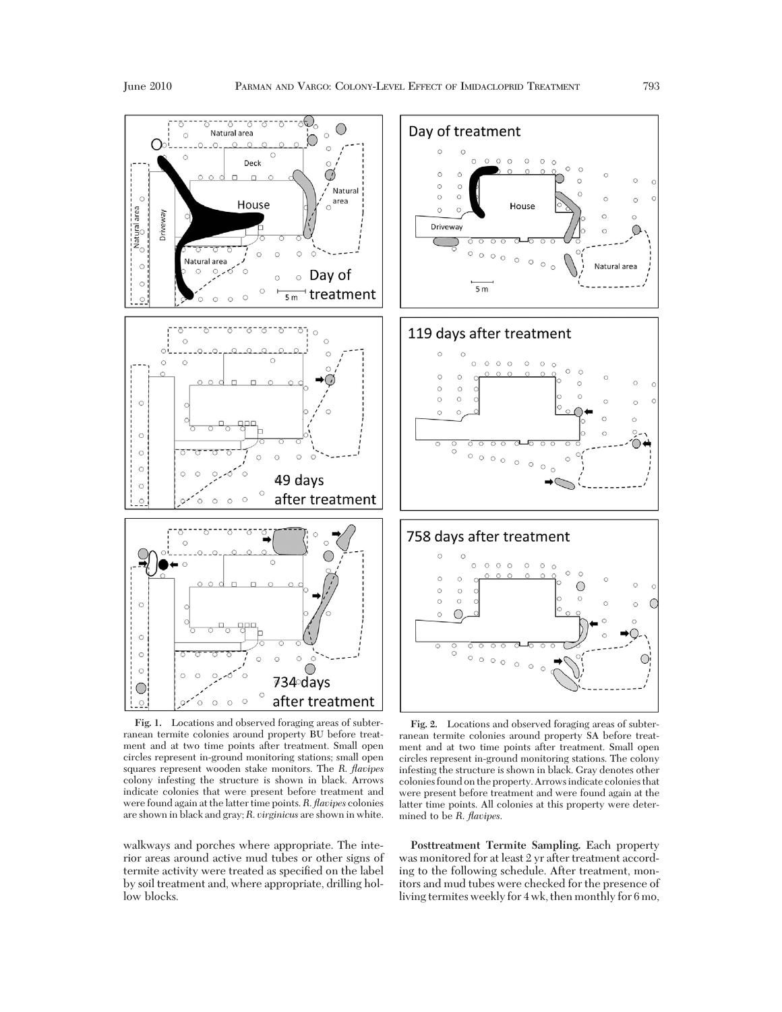

**Fig. 1.** Locations and observed foraging areas of subterranean termite colonies around property BU before treatment and at two time points after treatment. Small open circles represent in-ground monitoring stations; small open squares represent wooden stake monitors. The *R*. *flavipes* colony infesting the structure is shown in black. Arrows indicate colonies that were present before treatment and were found again at the latter time points.*R*. *flavipes* colonies are shown in black and gray; *R*. *virginicus* are shown in white.

walkways and porches where appropriate. The interior areas around active mud tubes or other signs of termite activity were treated as specified on the label by soil treatment and, where appropriate, drilling hollow blocks.



**Fig. 2.** Locations and observed foraging areas of subterranean termite colonies around property SA before treatment and at two time points after treatment. Small open circles represent in-ground monitoring stations. The colony infesting the structure is shown in black. Gray denotes other colonies found on the property. Arrowsindicate colonies that were present before treatment and were found again at the latter time points. All colonies at this property were determined to be *R*. *flavipes*.

**Posttreatment Termite Sampling.** Each property was monitored for at least 2 yr after treatment according to the following schedule. After treatment, monitors and mud tubes were checked for the presence of living termites weekly for 4 wk, then monthly for 6 mo,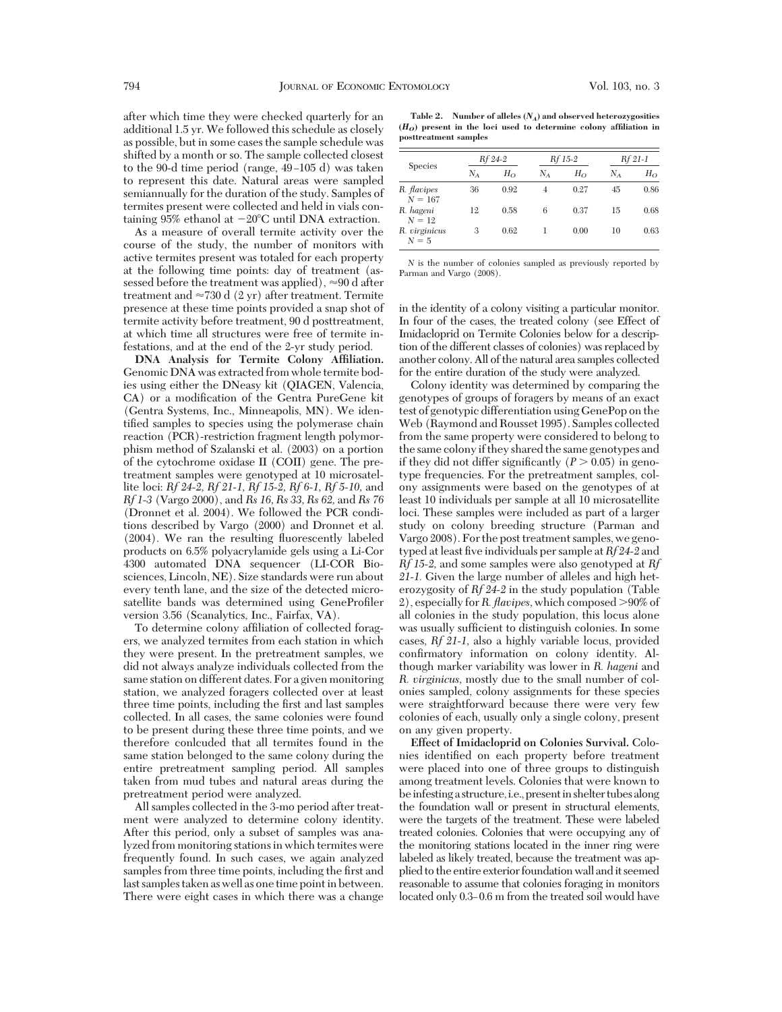after which time they were checked quarterly for an additional 1.5 yr. We followed this schedule as closely as possible, but in some cases the sample schedule was shifted by a month or so. The sample collected closest to the 90-d time period (range,  $49-105$  d) was taken to represent this date. Natural areas were sampled semiannually for the duration of the study. Samples of termites present were collected and held in vials containing 95% ethanol at  $-20^{\circ}$ C until DNA extraction.

As a measure of overall termite activity over the course of the study, the number of monitors with active termites present was totaled for each property at the following time points: day of treatment (assessed before the treatment was applied),  $\approx 90$  d after treatment and  $\approx 730$  d (2 yr) after treatment. Termite presence at these time points provided a snap shot of termite activity before treatment, 90 d posttreatment, at which time all structures were free of termite infestations, and at the end of the 2-yr study period.

**DNA Analysis for Termite Colony Affiliation.** Genomic DNA was extracted from whole termite bodies using either the DNeasy kit (QIAGEN, Valencia, CA) or a modification of the Gentra PureGene kit (Gentra Systems, Inc., Minneapolis, MN). We identified samples to species using the polymerase chain reaction (PCR)-restriction fragment length polymorphism method of Szalanski et al. (2003) on a portion of the cytochrome oxidase II (COII) gene. The pretreatment samples were genotyped at 10 microsatellite loci: *Rf 24-2, Rf 21-1, Rf 15-2, Rf 6-1, Rf 5-10,* and *Rf 1-3* (Vargo 2000), and *Rs 16, Rs 33, Rs 62,* and *Rs 76* (Dronnet et al. 2004). We followed the PCR conditions described by Vargo (2000) and Dronnet et al. (2004). We ran the resulting ßuorescently labeled products on 6.5% polyacrylamide gels using a Li-Cor 4300 automated DNA sequencer (LI-COR Biosciences, Lincoln, NE). Size standards were run about every tenth lane, and the size of the detected microsatellite bands was determined using GeneProfiler version 3.56 (Scanalytics, Inc., Fairfax, VA).

To determine colony affiliation of collected foragers, we analyzed termites from each station in which they were present. In the pretreatment samples, we did not always analyze individuals collected from the same station on different dates. For a given monitoring station, we analyzed foragers collected over at least three time points, including the first and last samples collected. In all cases, the same colonies were found to be present during these three time points, and we therefore conlcuded that all termites found in the same station belonged to the same colony during the entire pretreatment sampling period. All samples taken from mud tubes and natural areas during the pretreatment period were analyzed.

All samples collected in the 3-mo period after treatment were analyzed to determine colony identity. After this period, only a subset of samples was analyzed from monitoring stations in which termites were frequently found. In such cases, we again analyzed samples from three time points, including the first and last samples taken as well as one time pointin between. There were eight cases in which there was a change

**Table 2. Number of alleles (***NA***) and observed heterozygosities**  $(H<sub>O</sub>)$  present in the loci used to determine colony affiliation in **posttreatment samples**

|                          | Rf 24-2 |              | Rf 15-2 |              | Rf 21-1 |       |
|--------------------------|---------|--------------|---------|--------------|---------|-------|
| <b>Species</b>           | $N_A$   | $H_{\Omega}$ | $N_A$   | $H_{\Omega}$ | $N_A$   | $H_O$ |
| R. flavipes<br>$N = 167$ | 36      | 0.92         | 4       | 0.27         | 45      | 0.86  |
| R. hageni<br>$N = 12$    | 12      | 0.58         | 6       | 0.37         | 15      | 0.68  |
| R. virginicus<br>$N=5$   | 3       | 0.62         |         | 0.00         | 10      | 0.63  |

*N* is the number of colonies sampled as previously reported by Parman and Vargo (2008).

in the identity of a colony visiting a particular monitor. In four of the cases, the treated colony (see Effect of Imidacloprid on Termite Colonies below for a description of the different classes of colonies) was replaced by another colony. All of the natural area samples collected for the entire duration of the study were analyzed.

Colony identity was determined by comparing the genotypes of groups of foragers by means of an exact test of genotypic differentiation using GenePop on the Web (Raymond and Rousset 1995). Samples collected from the same property were considered to belong to the same colonyif they shared the same genotypes and if they did not differ significantly  $(P > 0.05)$  in genotype frequencies. For the pretreatment samples, colony assignments were based on the genotypes of at least 10 individuals per sample at all 10 microsatellite loci. These samples were included as part of a larger study on colony breeding structure (Parman and Vargo 2008). For the post treatment samples, we genotyped at least five individuals per sample at  $Rf24-2$  and *Rf 15-2,* and some samples were also genotyped at *Rf 21-1.* Given the large number of alleles and high heterozygosity of *Rf 24-2* in the study population (Table 2), especially for *R. flavipes*, which composed >90% of all colonies in the study population, this locus alone was usually sufficient to distinguish colonies. In some cases, *Rf 21-1,* also a highly variable locus, provided confirmatory information on colony identity. Although marker variability was lower in *R. hageni* and *R. virginicus,* mostly due to the small number of colonies sampled, colony assignments for these species were straightforward because there were very few colonies of each, usually only a single colony, present on any given property.

**Effect of Imidacloprid on Colonies Survival.** Colonies identified on each property before treatment were placed into one of three groups to distinguish among treatment levels. Colonies that were known to be infesting a structure, i.e., present in shelter tubes along the foundation wall or present in structural elements, were the targets of the treatment. These were labeled treated colonies. Colonies that were occupying any of the monitoring stations located in the inner ring were labeled as likely treated, because the treatment was applied to the entire exterior foundation wall andit seemed reasonable to assume that colonies foraging in monitors located only 0.3–0.6 m from the treated soil would have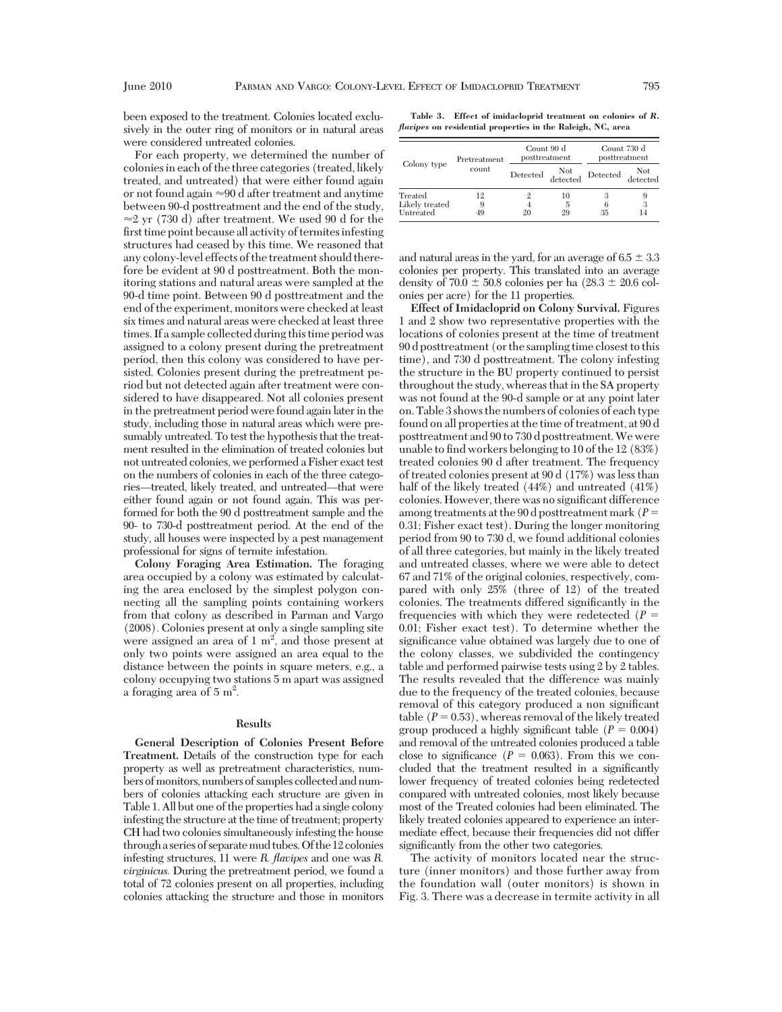been exposed to the treatment. Colonies located exclusively in the outer ring of monitors or in natural areas were considered untreated colonies.

For each property, we determined the number of colonies in each of the three categories (treated, likely treated, and untreated) that were either found again or not found again  $\approx 90$  d after treatment and anytime between 90-d posttreatment and the end of the study,  $\approx$  2 yr (730 d) after treatment. We used 90 d for the first time point because all activity of termites infesting structures had ceased by this time. We reasoned that any colony-level effects of the treatment should therefore be evident at 90 d posttreatment. Both the monitoring stations and natural areas were sampled at the 90-d time point. Between 90 d posttreatment and the end of the experiment, monitors were checked at least six times and natural areas were checked at least three times. If a sample collected during this time period was assigned to a colony present during the pretreatment period, then this colony was considered to have persisted. Colonies present during the pretreatment period but not detected again after treatment were considered to have disappeared. Not all colonies present in the pretreatment period were found again later in the study, including those in natural areas which were presumably untreated. To test the hypothesis that the treatment resulted in the elimination of treated colonies but not untreated colonies, we performed a Fisher exact test on the numbers of colonies in each of the three categories—treated, likely treated, and untreated—that were either found again or not found again. This was performed for both the 90 d posttreatment sample and the 90- to 730-d posttreatment period. At the end of the study, all houses were inspected by a pest management professional for signs of termite infestation.

**Colony Foraging Area Estimation.** The foraging area occupied by a colony was estimated by calculating the area enclosed by the simplest polygon connecting all the sampling points containing workers from that colony as described in Parman and Vargo (2008). Colonies present at only a single sampling site were assigned an area of  $1 \text{ m}^2$ , and those present at only two points were assigned an area equal to the distance between the points in square meters, e.g., a colony occupying two stations 5 m apart was assigned a foraging area of  $5 \text{ m}^2$ .

### **Results**

**General Description of Colonies Present Before Treatment.** Details of the construction type for each property as well as pretreatment characteristics, numbers of monitors, numbers of samples collected and numbers of colonies attacking each structure are given in Table 1. All but one of the properties had a single colony infesting the structure at the time of treatment; property CH had two colonies simultaneously infesting the house througha series of separatemud tubes.Of the 12 colonies infesting structures, 11 were *R. flavipes* and one was *R. virginicus.* During the pretreatment period, we found a total of 72 colonies present on all properties, including colonies attacking the structure and those in monitors

**Table 3. Effect of imidacloprid treatment on colonies of** *R. flavipes* **on residential properties in the Raleigh, NC, area**

|                                        | Pretreatment  | Count 90 d<br>posttreatment |               | Count 730 d<br>posttreatment |                 |
|----------------------------------------|---------------|-----------------------------|---------------|------------------------------|-----------------|
| Colony type                            | count         | Detected Not                |               | Detected                     | Not<br>detected |
| Treated<br>Likely treated<br>Untreated | 12<br>9<br>49 | 20                          | 10<br>5<br>29 | 35                           | 9<br>3<br>14    |

and natural areas in the yard, for an average of  $6.5 \pm 3.3$ colonies per property. This translated into an average density of  $70.0 \pm 50.8$  colonies per ha  $(28.3 \pm 20.6$  colonies per acre) for the 11 properties.

**Effect of Imidacloprid on Colony Survival.** Figures 1 and 2 show two representative properties with the locations of colonies present at the time of treatment 90 d posttreatment (or the sampling time closest to this time), and 730 d posttreatment. The colony infesting the structure in the BU property continued to persist throughout the study, whereas that in the SA property was not found at the 90-d sample or at any point later on. Table 3 shows the numbers of colonies of each type found on all properties at the time of treatment, at 90 d posttreatment and 90 to 730 d posttreatment.We were unable to find workers belonging to 10 of the 12 (83%) treated colonies 90 d after treatment. The frequency of treated colonies present at 90 d (17%) was less than half of the likely treated (44%) and untreated (41%) colonies. However, there was no significant difference among treatments at the 90 d posttreatment mark (*P* - 0.31; Fisher exact test). During the longer monitoring period from 90 to 730 d, we found additional colonies of all three categories, but mainly in the likely treated and untreated classes, where we were able to detect 67 and 71% of the original colonies, respectively, compared with only 25% (three of 12) of the treated colonies. The treatments differed significantly in the frequencies with which they were redetected (*P* = 0.01; Fisher exact test). To determine whether the significance value obtained was largely due to one of the colony classes, we subdivided the contingency table and performed pairwise tests using 2 by 2 tables. The results revealed that the difference was mainly due to the frequency of the treated colonies, because removal of this category produced a non significant  $table (P = 0.53)$ , whereas removal of the likely treated group produced a highly significant table  $(P = 0.004)$ and removal of the untreated colonies produced a table close to significance  $(P = 0.063)$ . From this we concluded that the treatment resulted in a significantly lower frequency of treated colonies being redetected compared with untreated colonies, most likely because most of the Treated colonies had been eliminated. The likely treated colonies appeared to experience an intermediate effect, because their frequencies did not differ significantly from the other two categories.

The activity of monitors located near the structure (inner monitors) and those further away from the foundation wall (outer monitors) is shown in Fig. 3. There was a decrease in termite activity in all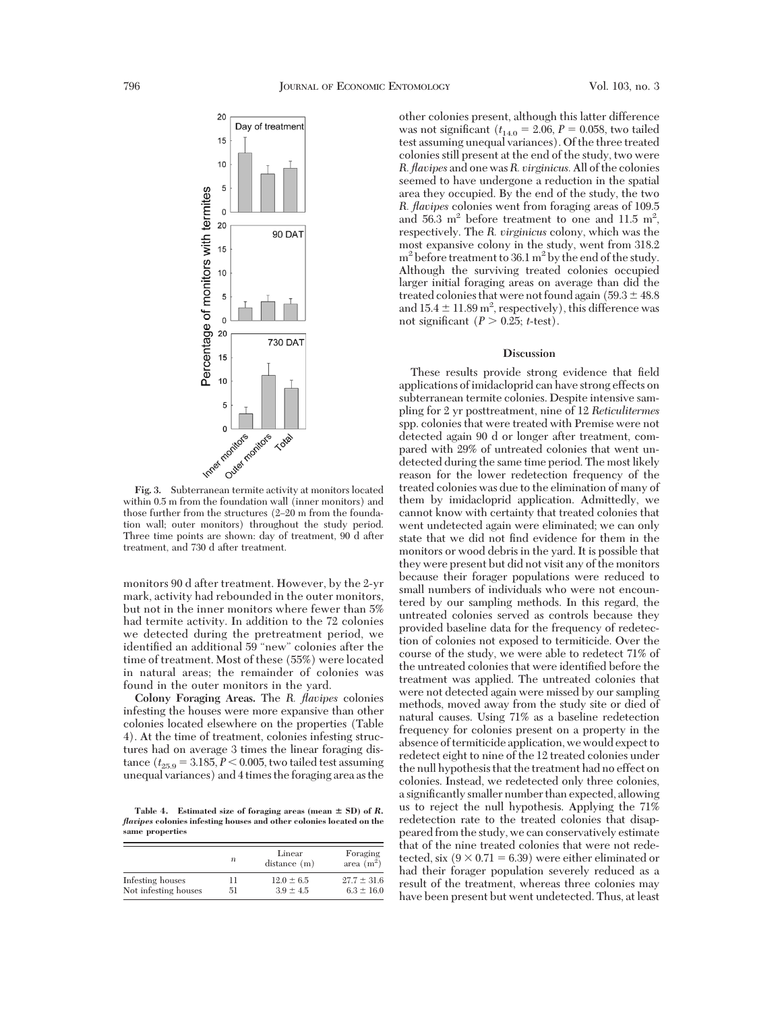

within 0.5 m from the foundation wall (inner monitors) and those further from the structures  $(2-20 \text{ m from the founda-}$ tion wall; outer monitors) throughout the study period. Three time points are shown: day of treatment, 90 d after treatment, and 730 d after treatment.

monitors 90 d after treatment. However, by the 2-yr mark, activity had rebounded in the outer monitors, but not in the inner monitors where fewer than 5% had termite activity. In addition to the 72 colonies we detected during the pretreatment period, we identified an additional 59 "new" colonies after the time of treatment. Most of these (55%) were located in natural areas; the remainder of colonies was found in the outer monitors in the yard.

**Colony Foraging Areas.** The *R. flavipes* colonies infesting the houses were more expansive than other colonies located elsewhere on the properties (Table 4). At the time of treatment, colonies infesting structures had on average 3 times the linear foraging distance  $(t_{25.9} = 3.185, P \le 0.005$ , two tailed test assuming unequal variances) and 4 times the foraging area as the

Table 4. Estimated size of foraging areas (mean  $\pm$  SD) of  $R$ . *flavipes* **colonies infesting houses and other colonies located on the same properties**

|                      | n  | Linear<br>$distance$ (m) | Foraging<br>area $(m^2)$ |
|----------------------|----|--------------------------|--------------------------|
| Infesting houses     | 11 | $12.0 \pm 6.5$           | $27.7 \pm 31.6$          |
| Not infesting houses | 51 | $3.9 \pm 4.5$            | $6.3 \pm 16.0$           |

other colonies present, although this latter difference was not significant  $(t_{14.0} = 2.06, P = 0.058,$  two tailed test assuming unequal variances). Of the three treated colonies still present at the end of the study, two were *R. flavipes* and one was*R. virginicus.* All of the colonies seemed to have undergone a reduction in the spatial area they occupied. By the end of the study, the two *R. flavipes* colonies went from foraging areas of 109.5 and  $56.3 \text{ m}^2$  before treatment to one and 11.5 m<sup>2</sup>, respectively. The *R. virginicus* colony, which was the most expansive colony in the study, went from 318.2  $m<sup>2</sup>$  before treatment to 36.1  $m<sup>2</sup>$  by the end of the study. Although the surviving treated colonies occupied larger initial foraging areas on average than did the treated colonies that were not found again  $(59.3 \pm 48.8)$ and  $15.4 \pm 11.89$  m<sup>2</sup>, respectively), this difference was not significant  $(P > 0.25; t\text{-test})$ .

#### **Discussion**

These results provide strong evidence that field applications of imidacloprid can have strong effects on subterranean termite colonies. Despite intensive sampling for 2 yr posttreatment, nine of 12 *Reticulitermes* spp. colonies that were treated with Premise were not detected again 90 d or longer after treatment, compared with 29% of untreated colonies that went undetected during the same time period. The most likely reason for the lower redetection frequency of the treated colonies was due to the elimination of many of them by imidacloprid application. Admittedly, we cannot know with certainty that treated colonies that went undetected again were eliminated; we can only state that we did not find evidence for them in the monitors or wood debris in the yard. It is possible that they were present but did not visit any of the monitors because their forager populations were reduced to small numbers of individuals who were not encountered by our sampling methods. In this regard, the untreated colonies served as controls because they provided baseline data for the frequency of redetection of colonies not exposed to termiticide. Over the course of the study, we were able to redetect 71% of the untreated colonies that were identified before the treatment was applied. The untreated colonies that were not detected again were missed by our sampling methods, moved away from the study site or died of natural causes. Using 71% as a baseline redetection frequency for colonies present on a property in the absence of termiticide application, we would expect to redetect eight to nine of the 12 treated colonies under the null hypothesis that the treatment had no effect on colonies. Instead, we redetected only three colonies, a significantly smaller number than expected, allowing us to reject the null hypothesis. Applying the 71% redetection rate to the treated colonies that disappeared from the study, we can conservatively estimate that of the nine treated colonies that were not redetected, six  $(9 \times 0.71 = 6.39)$  were either eliminated or had their forager population severely reduced as a result of the treatment, whereas three colonies may have been present but went undetected. Thus, at least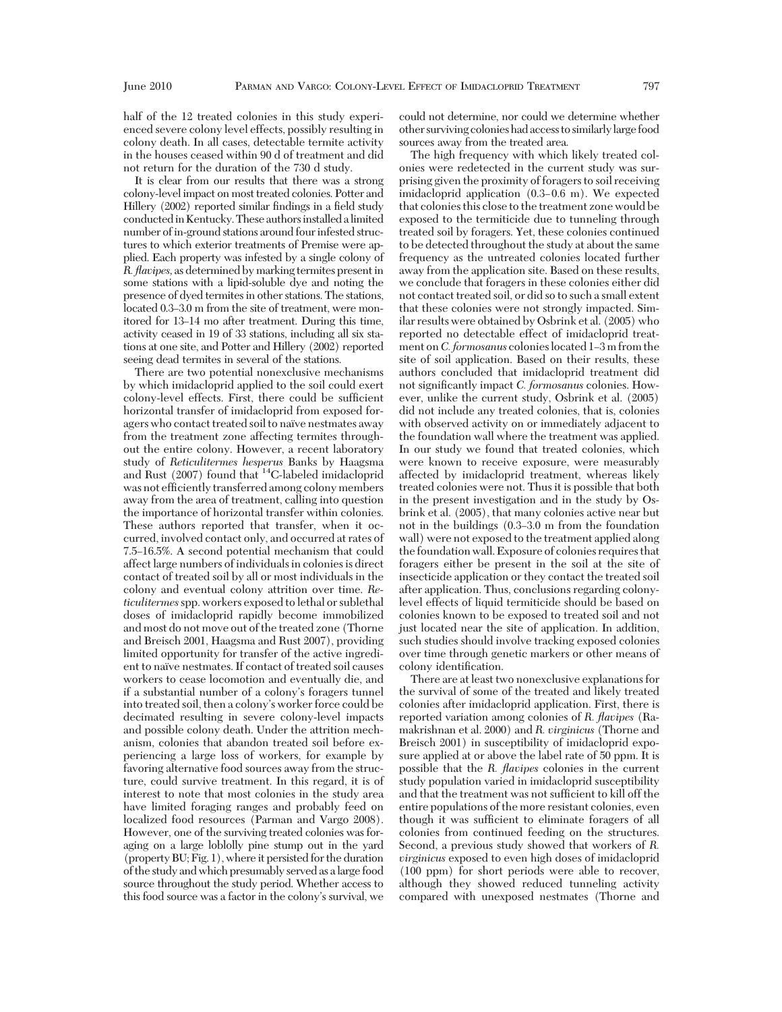half of the 12 treated colonies in this study experienced severe colony level effects, possibly resulting in colony death. In all cases, detectable termite activity in the houses ceased within 90 d of treatment and did not return for the duration of the 730 d study.

It is clear from our results that there was a strong colony-level impact on most treated colonies. Potter and Hillery (2002) reported similar findings in a field study conductedinKentucky.Theseauthorsinstalledalimited number of in-ground stations around four infested structures to which exterior treatments of Premise were applied. Each property was infested by a single colony of *R. flavipes,* as determined by marking termites present in some stations with a lipid-soluble dye and noting the presence of dyed termites in other stations. The stations, located 0.3–3.0 m from the site of treatment, were monitored for 13–14 mo after treatment. During this time, activity ceased in 19 of 33 stations, including all six stations at one site, and Potter and Hillery (2002) reported seeing dead termites in several of the stations.

There are two potential nonexclusive mechanisms by which imidacloprid applied to the soil could exert colony-level effects. First, there could be sufficient horizontal transfer of imidacloprid from exposed foragers who contact treated soil to naïve nestmates away from the treatment zone affecting termites throughout the entire colony. However, a recent laboratory study of *Reticulitermes hesperus* Banks by Haagsma and Rust (2007) found that 14C-labeled imidacloprid was not efficiently transferred among colony members away from the area of treatment, calling into question the importance of horizontal transfer within colonies. These authors reported that transfer, when it occurred, involved contact only, and occurred at rates of 7.5Ð16.5%. A second potential mechanism that could affect large numbers of individuals in colonies is direct contact of treated soil by all or most individuals in the colony and eventual colony attrition over time. *Reticulitermes*spp. workers exposed to lethal or sublethal doses of imidacloprid rapidly become immobilized and most do not move out of the treated zone (Thorne and Breisch 2001, Haagsma and Rust 2007), providing limited opportunity for transfer of the active ingredient to naïve nestmates. If contact of treated soil causes workers to cease locomotion and eventually die, and if a substantial number of a colony's foragers tunnel into treated soil, then a colony's worker force could be decimated resulting in severe colony-level impacts and possible colony death. Under the attrition mechanism, colonies that abandon treated soil before experiencing a large loss of workers, for example by favoring alternative food sources away from the structure, could survive treatment. In this regard, it is of interest to note that most colonies in the study area have limited foraging ranges and probably feed on localized food resources (Parman and Vargo 2008). However, one of the surviving treated colonies was foraging on a large loblolly pine stump out in the yard (property BU; Fig. 1), where it persisted for the duration of the study and which presumably served as alarge food source throughout the study period. Whether access to this food source was a factor in the colony's survival, we

could not determine, nor could we determine whether other surviving colonieshadaccess to similarlylarge food sources away from the treated area.

The high frequency with which likely treated colonies were redetected in the current study was surprising given the proximity of foragers to soil receiving imidacloprid application  $(0.3-0.6 \text{ m})$ . We expected that colonies this close to the treatment zone would be exposed to the termiticide due to tunneling through treated soil by foragers. Yet, these colonies continued to be detected throughout the study at about the same frequency as the untreated colonies located further away from the application site. Based on these results, we conclude that foragers in these colonies either did not contact treated soil, or did so to such a small extent that these colonies were not strongly impacted. Similar results were obtained by Osbrink et al. (2005) who reported no detectable effect of imidacloprid treatment on *C. formosanus* colonies located 1–3 m from the site of soil application. Based on their results, these authors concluded that imidacloprid treatment did not significantly impact *C. formosanus* colonies. However, unlike the current study, Osbrink et al. (2005) did not include any treated colonies, that is, colonies with observed activity on or immediately adjacent to the foundation wall where the treatment was applied. In our study we found that treated colonies, which were known to receive exposure, were measurably affected by imidacloprid treatment, whereas likely treated colonies were not. Thus it is possible that both in the present investigation and in the study by Osbrink et al. (2005), that many colonies active near but not in the buildings  $(0.3-3.0 \text{ m from the foundation})$ wall) were not exposed to the treatment applied along the foundation wall. Exposure of colonies requires that foragers either be present in the soil at the site of insecticide application or they contact the treated soil after application. Thus, conclusions regarding colonylevel effects of liquid termiticide should be based on colonies known to be exposed to treated soil and not just located near the site of application. In addition, such studies should involve tracking exposed colonies over time through genetic markers or other means of colony identification.

There are at least two nonexclusive explanations for the survival of some of the treated and likely treated colonies after imidacloprid application. First, there is reported variation among colonies of *R. flavipes* (Ramakrishnan et al. 2000) and *R. virginicus* (Thorne and Breisch 2001) in susceptibility of imidacloprid exposure applied at or above the label rate of 50 ppm. It is possible that the *R. flavipes* colonies in the current study population varied in imidacloprid susceptibility and that the treatment was not sufficient to kill off the entire populations of the more resistant colonies, even though it was sufficient to eliminate foragers of all colonies from continued feeding on the structures. Second, a previous study showed that workers of *R. virginicus* exposed to even high doses of imidacloprid (100 ppm) for short periods were able to recover, although they showed reduced tunneling activity compared with unexposed nestmates (Thorne and